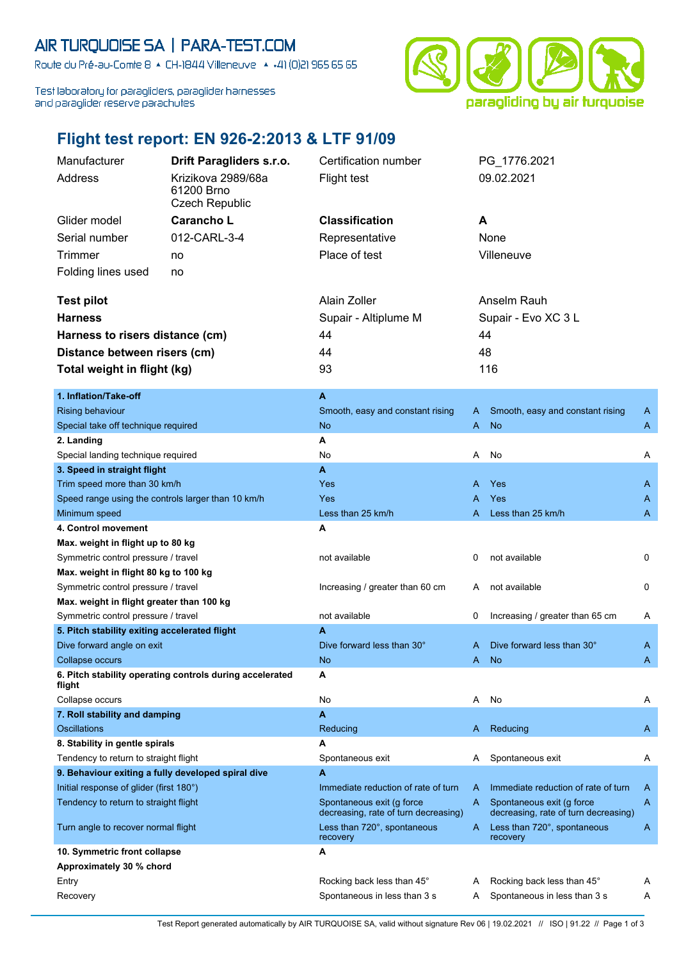## AIR TURQUOISE SA | PARA-TEST.COM

Route du Pré-au-Comte 8 & CH-1844 Villeneuve | 4 +41 (0)21 965 65 65

Test laboratory for paragliders, paraglider harnesses and paraglider reserve parachutes



## **Flight test report: EN 926-2:2013 & LTF 91/09**

| Manufacturer                                                                | Drift Paragliders s.r.o. | Certification number                                              |                     | PG 1776.2021                                                      |   |
|-----------------------------------------------------------------------------|--------------------------|-------------------------------------------------------------------|---------------------|-------------------------------------------------------------------|---|
| Address                                                                     | Krizikova 2989/68a       | <b>Flight test</b>                                                |                     | 09.02.2021                                                        |   |
|                                                                             | 61200 Brno               |                                                                   |                     |                                                                   |   |
|                                                                             | <b>Czech Republic</b>    |                                                                   |                     |                                                                   |   |
| Glider model                                                                | Carancho L               | <b>Classification</b>                                             | A                   |                                                                   |   |
| Serial number                                                               | 012-CARL-3-4             | Representative                                                    |                     | None                                                              |   |
| Trimmer                                                                     | no                       | Place of test                                                     |                     | Villeneuve                                                        |   |
| Folding lines used                                                          | no                       |                                                                   |                     |                                                                   |   |
|                                                                             |                          |                                                                   |                     |                                                                   |   |
| <b>Test pilot</b>                                                           |                          | Alain Zoller                                                      |                     | Anselm Rauh                                                       |   |
| <b>Harness</b>                                                              |                          | Supair - Altiplume M                                              | Supair - Evo XC 3 L |                                                                   |   |
| Harness to risers distance (cm)                                             |                          | 44                                                                |                     | 44                                                                |   |
| Distance between risers (cm)                                                |                          | 44                                                                |                     | 48                                                                |   |
|                                                                             |                          | 93                                                                |                     | 116                                                               |   |
| Total weight in flight (kg)                                                 |                          |                                                                   |                     |                                                                   |   |
| 1. Inflation/Take-off                                                       |                          | $\mathbf{A}$                                                      |                     |                                                                   |   |
| <b>Rising behaviour</b>                                                     |                          | Smooth, easy and constant rising                                  | A                   | Smooth, easy and constant rising                                  | A |
| Special take off technique required                                         |                          | <b>No</b>                                                         | A                   | <b>No</b>                                                         | A |
| 2. Landing                                                                  |                          | Α                                                                 |                     |                                                                   |   |
| Special landing technique required                                          |                          | No                                                                | Α                   | No                                                                | Α |
| 3. Speed in straight flight                                                 |                          | $\mathbf{A}$                                                      |                     |                                                                   |   |
| Trim speed more than 30 km/h                                                |                          | Yes                                                               | A                   | Yes                                                               | A |
| Speed range using the controls larger than 10 km/h                          |                          | Yes                                                               | А                   | <b>Yes</b>                                                        | A |
| Minimum speed                                                               |                          | Less than 25 km/h                                                 | А                   | Less than 25 km/h                                                 | A |
| 4. Control movement                                                         |                          | A                                                                 |                     |                                                                   |   |
| Max. weight in flight up to 80 kg                                           |                          |                                                                   |                     |                                                                   |   |
| Symmetric control pressure / travel                                         |                          | not available                                                     | 0                   | not available                                                     | 0 |
| Max. weight in flight 80 kg to 100 kg                                       |                          |                                                                   |                     |                                                                   |   |
| Symmetric control pressure / travel                                         |                          | Increasing / greater than 60 cm                                   | A                   | not available                                                     | 0 |
| Max. weight in flight greater than 100 kg                                   |                          |                                                                   |                     |                                                                   |   |
| Symmetric control pressure / travel                                         |                          | not available                                                     | 0                   | Increasing / greater than 65 cm                                   | A |
| 5. Pitch stability exiting accelerated flight                               |                          | A                                                                 |                     |                                                                   |   |
| Dive forward angle on exit                                                  |                          | Dive forward less than 30°                                        | A                   | Dive forward less than 30°                                        | A |
| Collapse occurs<br>6. Pitch stability operating controls during accelerated |                          | <b>No</b><br>A                                                    | A                   | <b>No</b>                                                         | A |
| flight                                                                      |                          |                                                                   |                     |                                                                   |   |
| Collapse occurs                                                             |                          | No                                                                | A                   | No                                                                | A |
| 7. Roll stability and damping                                               |                          | A                                                                 |                     |                                                                   |   |
| <b>Oscillations</b>                                                         |                          | Reducing                                                          | A                   | Reducing                                                          | A |
| 8. Stability in gentle spirals                                              |                          | A                                                                 |                     |                                                                   |   |
| Tendency to return to straight flight                                       |                          | Spontaneous exit                                                  | A                   | Spontaneous exit                                                  | A |
| 9. Behaviour exiting a fully developed spiral dive                          |                          | A                                                                 |                     |                                                                   |   |
| Initial response of glider (first 180°)                                     |                          | Immediate reduction of rate of turn                               | A                   | Immediate reduction of rate of turn                               | A |
| Tendency to return to straight flight                                       |                          | Spontaneous exit (q force<br>decreasing, rate of turn decreasing) | A                   | Spontaneous exit (g force<br>decreasing, rate of turn decreasing) | A |
| Turn angle to recover normal flight                                         |                          | Less than 720°, spontaneous<br>recovery                           | A                   | Less than 720°, spontaneous<br>recovery                           | A |
| 10. Symmetric front collapse                                                |                          | A                                                                 |                     |                                                                   |   |
| Approximately 30 % chord                                                    |                          |                                                                   |                     |                                                                   |   |
| Entry                                                                       |                          | Rocking back less than 45°                                        | A                   | Rocking back less than 45°                                        | A |
| Recovery                                                                    |                          | Spontaneous in less than 3 s                                      | A                   | Spontaneous in less than 3 s                                      | A |

Test Report generated automatically by AIR TURQUOISE SA, valid without signature Rev 06 | 19.02.2021 // ISO | 91.22 // Page 1 of 3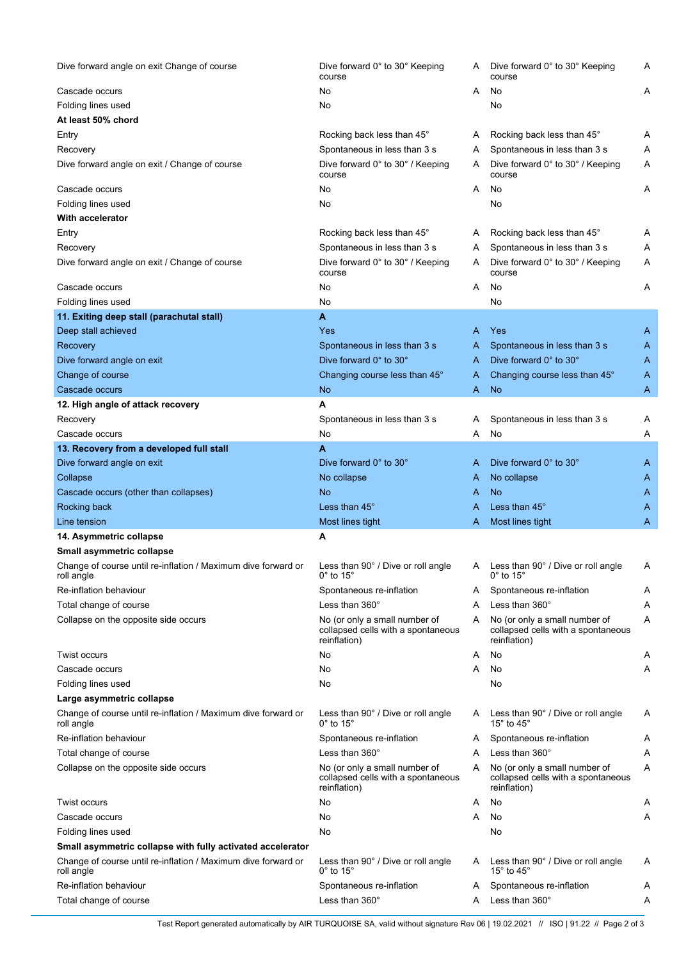| Dive forward angle on exit Change of course                                 | Dive forward 0° to 30° Keeping<br>course                                            | A | Dive forward 0° to 30° Keeping<br>course                                            | Α |
|-----------------------------------------------------------------------------|-------------------------------------------------------------------------------------|---|-------------------------------------------------------------------------------------|---|
| Cascade occurs                                                              | No                                                                                  | A | No                                                                                  | Α |
| Folding lines used                                                          | No                                                                                  |   | No                                                                                  |   |
| At least 50% chord                                                          |                                                                                     |   |                                                                                     |   |
| Entry                                                                       | Rocking back less than 45°                                                          | A | Rocking back less than 45°                                                          | Α |
| Recovery                                                                    | Spontaneous in less than 3 s                                                        | A | Spontaneous in less than 3 s                                                        | Α |
| Dive forward angle on exit / Change of course                               | Dive forward 0° to 30° / Keeping<br>course                                          | A | Dive forward 0° to 30° / Keeping<br>course                                          | Α |
| Cascade occurs                                                              | No                                                                                  | A | No                                                                                  | Α |
| Folding lines used                                                          | No                                                                                  |   | No                                                                                  |   |
| With accelerator                                                            |                                                                                     |   |                                                                                     |   |
| Entry                                                                       | Rocking back less than 45°                                                          | A | Rocking back less than 45°                                                          | A |
| Recovery                                                                    | Spontaneous in less than 3 s                                                        | A | Spontaneous in less than 3 s                                                        | Α |
| Dive forward angle on exit / Change of course                               | Dive forward 0° to 30° / Keeping<br>course                                          | A | Dive forward 0° to 30° / Keeping<br>course                                          | Α |
| Cascade occurs                                                              | No                                                                                  | A | No                                                                                  | Α |
| Folding lines used                                                          | No                                                                                  |   | No                                                                                  |   |
| 11. Exiting deep stall (parachutal stall)                                   | A                                                                                   |   |                                                                                     |   |
| Deep stall achieved                                                         | Yes                                                                                 | A | <b>Yes</b>                                                                          | A |
| Recovery                                                                    | Spontaneous in less than 3 s                                                        | A | Spontaneous in less than 3 s                                                        | A |
| Dive forward angle on exit                                                  | Dive forward 0° to 30°                                                              | A | Dive forward 0° to 30°                                                              | A |
| Change of course                                                            | Changing course less than 45°                                                       | A | Changing course less than 45°                                                       | A |
| Cascade occurs                                                              | <b>No</b>                                                                           | A | <b>No</b>                                                                           | A |
| 12. High angle of attack recovery                                           | А                                                                                   |   |                                                                                     |   |
| Recovery                                                                    | Spontaneous in less than 3 s                                                        | Α | Spontaneous in less than 3 s                                                        | A |
| Cascade occurs                                                              | No                                                                                  | Α | No                                                                                  | Α |
| 13. Recovery from a developed full stall                                    | A                                                                                   |   |                                                                                     |   |
| Dive forward angle on exit                                                  | Dive forward 0° to 30°                                                              | A | Dive forward 0° to 30°                                                              | A |
| Collapse                                                                    | No collapse                                                                         | A | No collapse                                                                         | A |
| Cascade occurs (other than collapses)                                       | No                                                                                  | A | <b>No</b>                                                                           | A |
| Rocking back                                                                | Less than 45°                                                                       | A | Less than $45^\circ$                                                                | A |
| Line tension                                                                | Most lines tight                                                                    | A | Most lines tight                                                                    | A |
| 14. Asymmetric collapse                                                     | Α                                                                                   |   |                                                                                     |   |
| Small asymmetric collapse                                                   |                                                                                     |   |                                                                                     |   |
| Change of course until re-inflation / Maximum dive forward or<br>roll angle | Less than 90° / Dive or roll angle<br>$0^{\circ}$ to 15 $^{\circ}$                  | A | Less than 90° / Dive or roll angle<br>$0^\circ$ to 15 $^\circ$                      | Α |
| Re-inflation behaviour                                                      | Spontaneous re-inflation                                                            | Α | Spontaneous re-inflation                                                            | A |
| Total change of course                                                      | Less than $360^\circ$                                                               | A | Less than $360^\circ$                                                               | Α |
| Collapse on the opposite side occurs                                        | No (or only a small number of<br>collapsed cells with a spontaneous<br>reinflation) | A | No (or only a small number of<br>collapsed cells with a spontaneous<br>reinflation) | Α |
| <b>Twist occurs</b>                                                         | No                                                                                  | Α | No                                                                                  | Α |
| Cascade occurs                                                              | No                                                                                  | Α | No                                                                                  | Α |
| Folding lines used                                                          | No                                                                                  |   | No                                                                                  |   |
| Large asymmetric collapse                                                   |                                                                                     |   |                                                                                     |   |
| Change of course until re-inflation / Maximum dive forward or<br>roll angle | Less than 90° / Dive or roll angle<br>$0^\circ$ to 15 $^\circ$                      | A | Less than 90° / Dive or roll angle<br>15 $\degree$ to 45 $\degree$                  | A |
| Re-inflation behaviour                                                      | Spontaneous re-inflation                                                            | Α | Spontaneous re-inflation                                                            | Α |
| Total change of course                                                      | Less than $360^\circ$                                                               | A | Less than $360^\circ$                                                               | Α |
| Collapse on the opposite side occurs                                        | No (or only a small number of<br>collapsed cells with a spontaneous<br>reinflation) | A | No (or only a small number of<br>collapsed cells with a spontaneous<br>reinflation) | Α |
| <b>Twist occurs</b>                                                         | No                                                                                  | A | No                                                                                  | A |
| Cascade occurs                                                              | No                                                                                  | A | No                                                                                  | Α |
| Folding lines used                                                          | No                                                                                  |   | No                                                                                  |   |
| Small asymmetric collapse with fully activated accelerator                  |                                                                                     |   |                                                                                     |   |
| Change of course until re-inflation / Maximum dive forward or<br>roll angle | Less than 90° / Dive or roll angle<br>$0^\circ$ to 15 $^\circ$                      | A | Less than 90° / Dive or roll angle<br>15 $\degree$ to 45 $\degree$                  | A |
| Re-inflation behaviour                                                      | Spontaneous re-inflation                                                            | A | Spontaneous re-inflation                                                            | A |
| Total change of course                                                      | Less than $360^\circ$                                                               | A | Less than $360^\circ$                                                               | A |